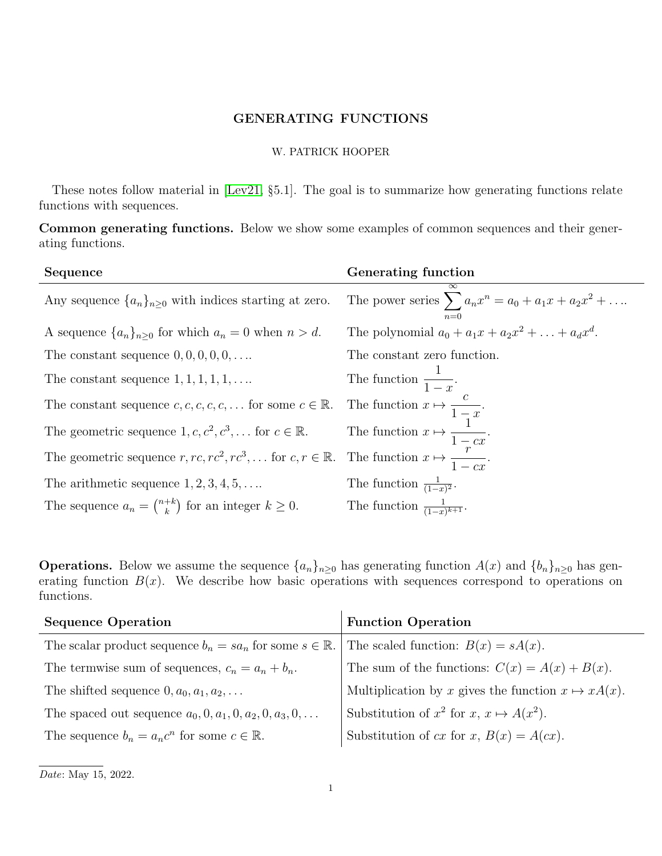## GENERATING FUNCTIONS

## W. PATRICK HOOPER

These notes follow material in [\[Lev21,](#page-1-0) §5.1]. The goal is to summarize how generating functions relate functions with sequences.

Common generating functions. Below we show some examples of common sequences and their generating functions.

| Sequence                                                                      | Generating function                                                         |
|-------------------------------------------------------------------------------|-----------------------------------------------------------------------------|
| Any sequence $\{a_n\}_{n\geq 0}$ with indices starting at zero.               | $\infty$<br>The power series $\sum a_n x^n = a_0 + a_1 x + a_2 x^2 + \dots$ |
| A sequence $\{a_n\}_{n\geq 0}$ for which $a_n = 0$ when $n > d$ .             | The polynomial $a_0 + a_1x + a_2x^2 + \ldots + a_dx^d$ .                    |
| The constant sequence $0, 0, 0, 0, 0, \ldots$                                 | The constant zero function.                                                 |
| The constant sequence $1, 1, 1, 1, 1, \ldots$                                 | The function $\frac{1}{1-x}$ .                                              |
| The constant sequence $c, c, c, c, c, \ldots$ for some $c \in \mathbb{R}$ .   | The function $x \mapsto \frac{c}{1-x}$ .                                    |
| The geometric sequence $1, c, c^2, c^3, \dots$ for $c \in \mathbb{R}$ .       | The function $x \mapsto \frac{1}{1 - cx}$ .                                 |
| The geometric sequence $r, rc, rc^2, rc^3, \dots$ for $c, r \in \mathbb{R}$ . | The function $x \mapsto \frac{r}{1- cx}$ .                                  |
| The arithmetic sequence $1, 2, 3, 4, 5, \ldots$                               | The function $\frac{1}{(1-x)^2}$ .                                          |
| The sequence $a_n = \binom{n+k}{k}$ for an integer $k \geq 0$ .               | The function $\frac{1}{(1-x)^{k+1}}$ .                                      |

**Operations.** Below we assume the sequence  $\{a_n\}_{n\geq 0}$  has generating function  $A(x)$  and  $\{b_n\}_{n\geq 0}$  has generating function  $B(x)$ . We describe how basic operations with sequences correspond to operations on functions.

| <b>Sequence Operation</b>                                              | <b>Function Operation</b>                                  |
|------------------------------------------------------------------------|------------------------------------------------------------|
| The scalar product sequence $b_n = sa_n$ for some $s \in \mathbb{R}$ . | The scaled function: $B(x) = sA(x)$ .                      |
| The termwise sum of sequences, $c_n = a_n + b_n$ .                     | The sum of the functions: $C(x) = A(x) + B(x)$ .           |
| The shifted sequence $0, a_0, a_1, a_2, \ldots$                        | Multiplication by x gives the function $x \mapsto xA(x)$ . |
| The spaced out sequence $a_0, 0, a_1, 0, a_2, 0, a_3, 0, \ldots$       | Substitution of $x^2$ for $x, x \mapsto A(x^2)$ .          |
| The sequence $b_n = a_n c^n$ for some $c \in \mathbb{R}$ .             | Substitution of cx for x, $B(x) = A(cx)$ .                 |

Date: May 15, 2022.